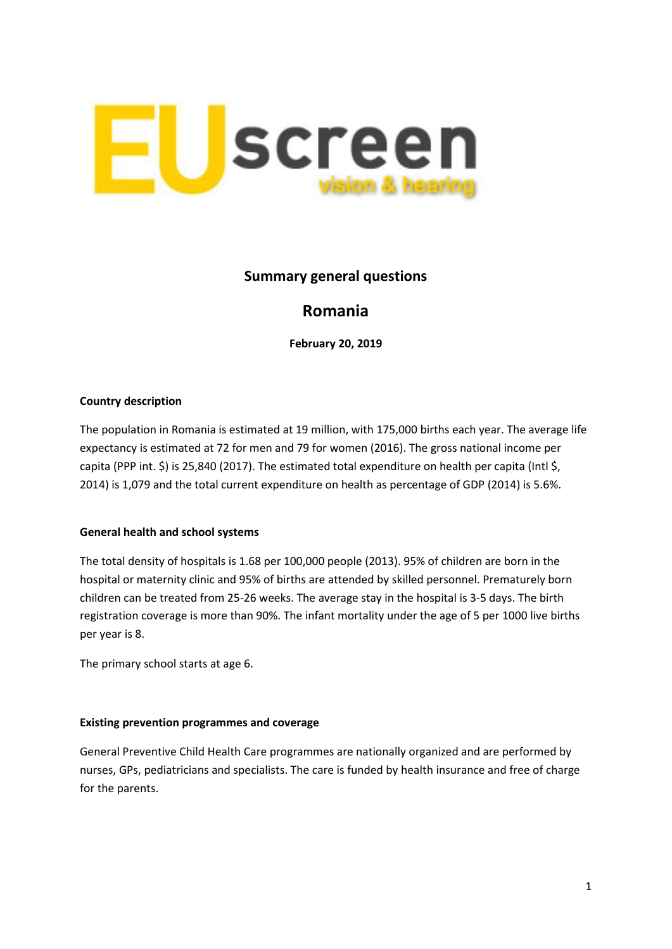

# **Summary general questions**

# **Romania**

**February 20, 2019**

## **Country description**

The population in Romania is estimated at 19 million, with 175,000 births each year. The average life expectancy is estimated at 72 for men and 79 for women (2016). The gross national income per capita (PPP int. \$) is 25,840 (2017). The estimated total expenditure on health per capita (Intl \$, 2014) is 1,079 and the total current expenditure on health as percentage of GDP (2014) is 5.6%.

#### **General health and school systems**

The total density of hospitals is 1.68 per 100,000 people (2013). 95% of children are born in the hospital or maternity clinic and 95% of births are attended by skilled personnel. Prematurely born children can be treated from 25-26 weeks. The average stay in the hospital is 3-5 days. The birth registration coverage is more than 90%. The infant mortality under the age of 5 per 1000 live births per year is 8.

The primary school starts at age 6.

#### **Existing prevention programmes and coverage**

General Preventive Child Health Care programmes are nationally organized and are performed by nurses, GPs, pediatricians and specialists. The care is funded by health insurance and free of charge for the parents.